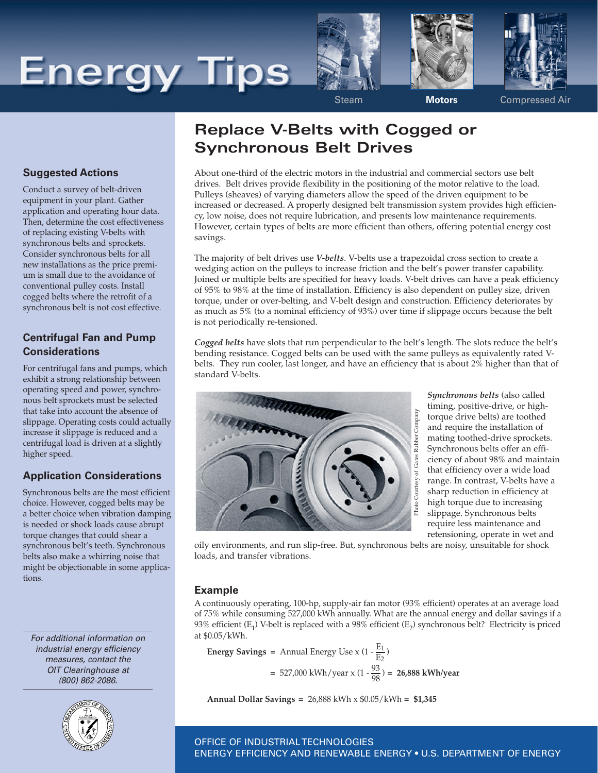# **Energy Tips**







Steam **Motors** Compressed Air

#### **Suggested Actions**

Conduct a survey of belt-driven equipment in your plant. Gather application and operating hour data. Then, determine the cost effectiveness of replacing existing V-belts with synchronous belts and sprockets. Consider synchronous belts for all new installations as the price premium is small due to the avoidance of conventional pulley costs. Install cogged belts where the retrofit of a synchronous belt is not cost effective.

#### **Centrifugal Fan and Pump Considerations**

For centrifugal fans and pumps, which exhibit a strong relationship between operating speed and power, synchronous belt sprockets must be selected that take into account the absence of slippage. Operating costs could actually increase if slippage is reduced and a centrifugal load is driven at a slightly higher speed.

### **Application Considerations**

Synchronous belts are the most efficient choice. However, cogged belts may be a better choice when vibration damping is needed or shock loads cause abrupt torque changes that could shear a synchronous belt's teeth. Synchronous belts also make a whirring noise that might be objectionable in some applications.

*For additional information on industrial energy efficiency measures, contact the OIT Clearinghouse at (800) 862-2086.*



## **Replace V-Belts with Cogged or Synchronous Belt Drives**

About one-third of the electric motors in the industrial and commercial sectors use belt drives. Belt drives provide flexibility in the positioning of the motor relative to the load. Pulleys (sheaves) of varying diameters allow the speed of the driven equipment to be increased or decreased. A properly designed belt transmission system provides high efficiency, low noise, does not require lubrication, and presents low maintenance requirements. However, certain types of belts are more efficient than others, offering potential energy cost savings.

The majority of belt drives use *V-belts*. V-belts use a trapezoidal cross section to create a wedging action on the pulleys to increase friction and the belt's power transfer capability. Joined or multiple belts are specified for heavy loads. V-belt drives can have a peak efficiency of 95% to 98% at the time of installation. Efficiency is also dependent on pulley size, driven torque, under or over-belting, and V-belt design and construction. Efficiency deteriorates by as much as 5% (to a nominal efficiency of 93%) over time if slippage occurs because the belt is not periodically re-tensioned.

*Cogged belts* have slots that run perpendicular to the belt's length. The slots reduce the belt's bending resistance. Cogged belts can be used with the same pulleys as equivalently rated Vbelts. They run cooler, last longer, and have an efficiency that is about 2% higher than that of standard V-belts.



*Synchronous belts* (also called timing, positive-drive, or hightorque drive belts) are toothed and require the installation of mating toothed-drive sprockets. Synchronous belts offer an efficiency of about 98% and maintain that efficiency over a wide load range. In contrast, V-belts have a sharp reduction in efficiency at high torque due to increasing slippage. Synchronous belts require less maintenance and retensioning, operate in wet and

oily environments, and run slip-free. But, synchronous belts are noisy, unsuitable for shock loads, and transfer vibrations.

#### **Example**

A continuously operating, 100-hp, supply-air fan motor (93% efficient) operates at an average load of 75% while consuming 527,000 kWh annually. What are the annual energy and dollar savings if a 93% efficient  $(E_1)$  V-belt is replaced with a 98% efficient  $(E_2)$  synchronous belt? Electricity is priced at \$0.05/kWh.

Energy Savings = Annual Energy Use x 
$$
(1 - \frac{E_1}{E_2})
$$
  
= 527,000 kWh/year x  $(1 - \frac{93}{98})$  = 26,888 kWh/year

**Annual Dollar Savings =** 26,888 kWh x \$0.05/kWh **= \$1,345**